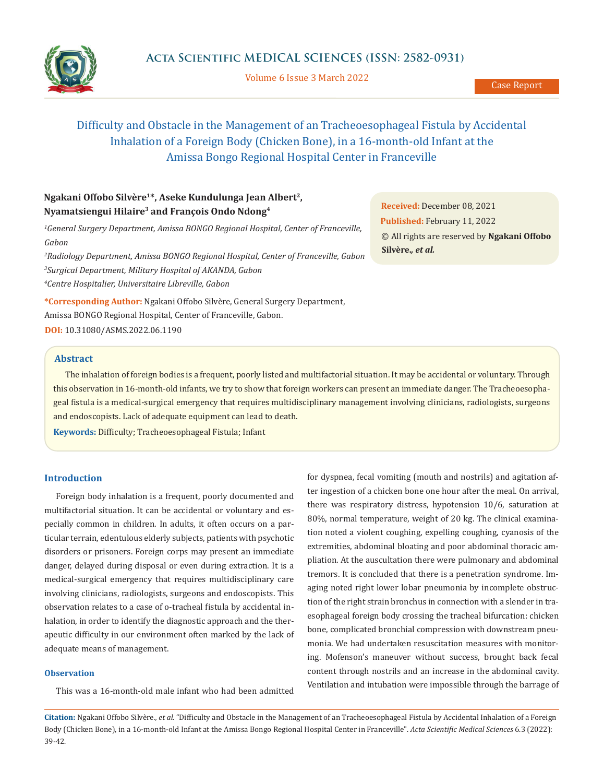

Volume 6 Issue 3 March 2022

# Difficulty and Obstacle in the Management of an Tracheoesophageal Fistula by Accidental Inhalation of a Foreign Body (Chicken Bone), in a 16-month-old Infant at the Amissa Bongo Regional Hospital Center in Franceville

## **Ngakani Offobo Silvère1\*, Aseke Kundulunga Jean Albert2, Nyamatsiengui Hilaire3 and François Ondo Ndong4**

*1 General Surgery Department, Amissa BONGO Regional Hospital, Center of Franceville, Gabon*

*2 Radiology Department, Amissa BONGO Regional Hospital, Center of Franceville, Gabon 3 Surgical Department, Military Hospital of AKANDA, Gabon 4 Centre Hospitalier, Universitaire Libreville, Gabon*

**\*Corresponding Author:** Ngakani Offobo Silvère, General Surgery Department, Amissa BONGO Regional Hospital, Center of Franceville, Gabon. **DOI:** [10.31080/ASMS.2022.06.1190](https://actascientific.com/ASMS/pdf/ASMS-06-1190.pdf)

## **Abstract**

The inhalation of foreign bodies is a frequent, poorly listed and multifactorial situation. It may be accidental or voluntary. Through this observation in 16-month-old infants, we try to show that foreign workers can present an immediate danger. The Tracheoesophageal fistula is a medical-surgical emergency that requires multidisciplinary management involving clinicians, radiologists, surgeons and endoscopists. Lack of adequate equipment can lead to death.

**Keywords:** Difficulty; Tracheoesophageal Fistula; Infant

## **Introduction**

Foreign body inhalation is a frequent, poorly documented and multifactorial situation. It can be accidental or voluntary and especially common in children. In adults, it often occurs on a particular terrain, edentulous elderly subjects, patients with psychotic disorders or prisoners. Foreign corps may present an immediate danger, delayed during disposal or even during extraction. It is a medical-surgical emergency that requires multidisciplinary care involving clinicians, radiologists, surgeons and endoscopists. This observation relates to a case of o-tracheal fistula by accidental inhalation, in order to identify the diagnostic approach and the therapeutic difficulty in our environment often marked by the lack of adequate means of management.

## **Observation**

This was a 16-month-old male infant who had been admitted

for dyspnea, fecal vomiting (mouth and nostrils) and agitation after ingestion of a chicken bone one hour after the meal. On arrival, there was respiratory distress, hypotension 10/6, saturation at 80%, normal temperature, weight of 20 kg. The clinical examination noted a violent coughing, expelling coughing, cyanosis of the extremities, abdominal bloating and poor abdominal thoracic ampliation. At the auscultation there were pulmonary and abdominal tremors. It is concluded that there is a penetration syndrome. Imaging noted right lower lobar pneumonia by incomplete obstruction of the right strain bronchus in connection with a slender in traesophageal foreign body crossing the tracheal bifurcation: chicken bone, complicated bronchial compression with downstream pneumonia. We had undertaken resuscitation measures with monitoring. Mofenson's maneuver without success, brought back fecal content through nostrils and an increase in the abdominal cavity. Ventilation and intubation were impossible through the barrage of

**Citation:** Ngakani Offobo Silvère*., et al.* "Difficulty and Obstacle in the Management of an Tracheoesophageal Fistula by Accidental Inhalation of a Foreign Body (Chicken Bone), in a 16-month-old Infant at the Amissa Bongo Regional Hospital Center in Franceville". *Acta Scientific Medical Sciences* 6.3 (2022): 39-42.

**Received:** December 08, 2021 **Published:** February 11, 2022 © All rights are reserved by **Ngakani Offobo Silvère.***, et al.*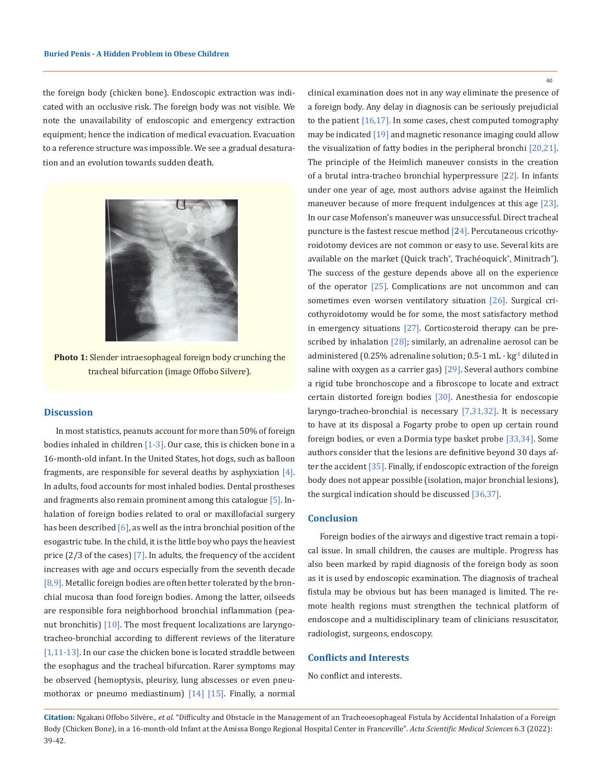the foreign body (chicken bone). Endoscopic extraction was indicated with an occlusive risk. The foreign body was not visible. We note the unavailability of endoscopic and emergency extraction equipment; hence the indication of medical evacuation. Evacuation to a reference structure was impossible. We see a gradual desaturation and an evolution towards sudden death.



**Photo 1:** Slender intraesophageal foreign body crunching the tracheal bifurcation (image Offobo Silvere).

## **Discussion**

In most statistics, peanuts account for more than 50% of foreign bodies inhaled in children [1-3]. Our case, this is chicken bone in a 16-month-old infant. In the United States, hot dogs, such as balloon fragments, are responsible for several deaths by asphyxiation  $[4]$ . In adults, food accounts for most inhaled bodies. Dental prostheses and fragments also remain prominent among this catalogue [5]. Inhalation of foreign bodies related to oral or maxillofacial surgery has been described [6], as well as the intra bronchial position of the esogastric tube. In the child, it is the little boy who pays the heaviest price  $(2/3)$  of the cases)  $[7]$ . In adults, the frequency of the accident increases with age and occurs especially from the seventh decade [8,9]. Metallic foreign bodies are often better tolerated by the bronchial mucosa than food foreign bodies. Among the latter, oilseeds are responsible fora neighborhood bronchial inflammation (peanut bronchitis) [10]. The most frequent localizations are laryngotracheo-bronchial according to different reviews of the literature [1,11-13]. In our case the chicken bone is located straddle between the esophagus and the tracheal bifurcation. Rarer symptoms may be observed (hemoptysis, pleurisy, lung abscesses or even pneumothorax or pneumo mediastinum) [14] [15]. Finally, a normal 40

clinical examination does not in any way eliminate the presence of a foreign body. Any delay in diagnosis can be seriously prejudicial to the patient  $[16,17]$ . In some cases, chest computed tomography may be indicated [19] and magnetic resonance imaging could allow the visualization of fatty bodies in the peripheral bronchi [20,21]. The principle of the Heimlich maneuver consists in the creation of a brutal intra-tracheo bronchial hyperpressure [22]. In infants under one year of age, most authors advise against the Heimlich maneuver because of more frequent indulgences at this age [23]. In our case Mofenson's maneuver was unsuccessful. Direct tracheal puncture is the fastest rescue method [24]. Percutaneous cricothyroidotomy devices are not common or easy to use. Several kits are available on the market (Quick trach®, Trachéoquick®, Minitrach®). The success of the gesture depends above all on the experience of the operator [25]. Complications are not uncommon and can sometimes even worsen ventilatory situation [26]. Surgical cricothyroidotomy would be for some, the most satisfactory method in emergency situations [27]. Corticosteroid therapy can be prescribed by inhalation [28]; similarly, an adrenaline aerosol can be administered (0.25% adrenaline solution; 0.5-1 mL · kg<sup>-1</sup> diluted in saline with oxygen as a carrier gas) [29]. Several authors combine a rigid tube bronchoscope and a fibroscope to locate and extract certain distorted foreign bodies [30]. Anesthesia for endoscopie laryngo-tracheo-bronchial is necessary [7,31,32]. It is necessary to have at its disposal a Fogarty probe to open up certain round foreign bodies, or even a Dormia type basket probe [33,34]. Some authors consider that the lesions are definitive beyond 30 days after the accident [35]. Finally, if endoscopic extraction of the foreign body does not appear possible (isolation, major bronchial lesions), the surgical indication should be discussed [36,37].

#### **Conclusion**

Foreign bodies of the airways and digestive tract remain a topical issue. In small children, the causes are multiple. Progress has also been marked by rapid diagnosis of the foreign body as soon as it is used by endoscopic examination. The diagnosis of tracheal fistula may be obvious but has been managed is limited. The remote health regions must strengthen the technical platform of endoscope and a multidisciplinary team of clinicians resuscitator, radiologist, surgeons, endoscopy.

## **Conflicts and Interests**

No conflict and interests.

**Citation:** Ngakani Offobo Silvère*., et al.* "Difficulty and Obstacle in the Management of an Tracheoesophageal Fistula by Accidental Inhalation of a Foreign Body (Chicken Bone), in a 16-month-old Infant at the Amissa Bongo Regional Hospital Center in Franceville". *Acta Scientific Medical Sciences* 6.3 (2022): 39-42.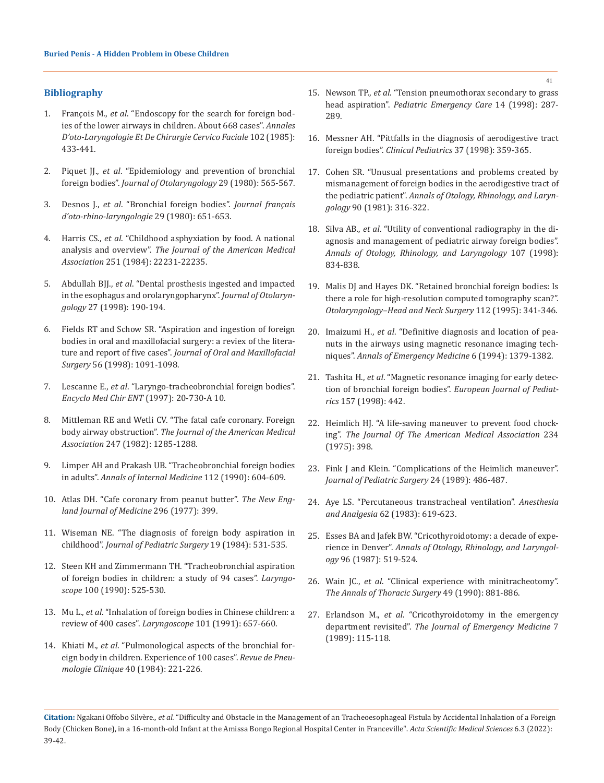## **Bibliography**

- 1. François M., *et al*. "Endoscopy for the search for foreign bodies of the lower airways in children. About 668 cases". *Annales D'oto-Laryngologie Et De Chirurgie Cervico Faciale* 102 (1985): 433-441.
- 2. Piquet JJ., *et al*[. "Epidemiology and prevention of bronchial](https://pubmed.ncbi.nlm.nih.gov/6451662/)  foreign bodies". *[Journal of Otolaryngology](https://pubmed.ncbi.nlm.nih.gov/6451662/)* 29 (1980): 565-567.
- 3. Desnos J., *et al*[. "Bronchial foreign bodies".](https://pubmed.ncbi.nlm.nih.gov/6450267/) *Journal français [d'oto-rhino-laryngologie](https://pubmed.ncbi.nlm.nih.gov/6450267/)* 29 (1980): 651-653.
- 4. Harris CS., *et al*[. "Childhood asphyxiation by food. A national](https://pubmed.ncbi.nlm.nih.gov/6708272/)  analysis and overview". *[The Journal of the American Medical](https://pubmed.ncbi.nlm.nih.gov/6708272/)  Association* [251 \(1984\): 22231-22235.](https://pubmed.ncbi.nlm.nih.gov/6708272/)
- 5. Abdullah BJJ., *et al*[. "Dental prosthesis ingested and impacted](https://europepmc.org/article/MED/9711512)  [in the esophagus and orolaryngopharynx".](https://europepmc.org/article/MED/9711512) *Journal of Otolaryngology* [27 \(1998\): 190-194.](https://europepmc.org/article/MED/9711512)
- 6. [Fields RT and Schow SR. "Aspiration and ingestion of foreign](https://pubmed.ncbi.nlm.nih.gov/9734773/)  [bodies in oral and maxillofacial surgery: a reviex of the litera](https://pubmed.ncbi.nlm.nih.gov/9734773/)ture and report of five cases". *[Journal of Oral and Maxillofacial](https://pubmed.ncbi.nlm.nih.gov/9734773/)  Surgery* [56 \(1998\): 1091-1098.](https://pubmed.ncbi.nlm.nih.gov/9734773/)
- 7. Lescanne E., *et al*. "Laryngo-tracheobronchial foreign bodies". *Encyclo Med Chir ENT* (1997): 20-730-A 10.
- 8. [Mittleman RE and Wetli CV. "The fatal cafe coronary. Foreign](https://pubmed.ncbi.nlm.nih.gov/7062544/)  body airway obstruction". *[The Journal of the American Medical](https://pubmed.ncbi.nlm.nih.gov/7062544/)  Association* [247 \(1982\): 1285-1288.](https://pubmed.ncbi.nlm.nih.gov/7062544/)
- 9. [Limper AH and Prakash UB. "Tracheobronchial foreign bodies](https://pubmed.ncbi.nlm.nih.gov/2327678/)  in adults". *[Annals of Internal Medicine](https://pubmed.ncbi.nlm.nih.gov/2327678/)* 112 (1990): 604-609.
- 10. Atlas DH. "Cafe coronary from peanut butter". *The New England Journal of Medicine* 296 (1977): 399.
- 11. [Wiseman NE. "The diagnosis of foreign body aspiration in](https://pubmed.ncbi.nlm.nih.gov/6502421/)  childhood". *[Journal of Pediatric Surgery](https://pubmed.ncbi.nlm.nih.gov/6502421/)* 19 (1984): 531-535.
- 12. [Steen KH and Zimmermann TH. "Tracheobronchial aspiration](https://pubmed.ncbi.nlm.nih.gov/2329912/)  [of foreign bodies in children: a study of 94 cases".](https://pubmed.ncbi.nlm.nih.gov/2329912/) *Laryngoscope* [100 \(1990\): 525-530.](https://pubmed.ncbi.nlm.nih.gov/2329912/)
- 13. Mu L., *et al*[. "Inhalation of foreign bodies in Chinese children: a](https://pubmed.ncbi.nlm.nih.gov/2041447/)  review of 400 cases". *Laryngoscope* [101 \(1991\): 657-660.](https://pubmed.ncbi.nlm.nih.gov/2041447/)
- 14. Khiati M., *et al*[. "Pulmonological aspects of the bronchial for](https://pubmed.ncbi.nlm.nih.gov/6545462/)[eign body in children. Experience of 100 cases".](https://pubmed.ncbi.nlm.nih.gov/6545462/) *Revue de Pneumologie Clinique* [40 \(1984\): 221-226.](https://pubmed.ncbi.nlm.nih.gov/6545462/)
- 15. Newson TP., *et al*[. "Tension pneumothorax secondary to grass](https://pubmed.ncbi.nlm.nih.gov/9733256/)  head aspiration". *[Pediatric Emergency Care](https://pubmed.ncbi.nlm.nih.gov/9733256/)* 14 (1998): 287- [289.](https://pubmed.ncbi.nlm.nih.gov/9733256/)
- 16. [Messner AH. "Pittfalls in the diagnosis of aerodigestive tract](https://pubmed.ncbi.nlm.nih.gov/9637900/)  foreign bodies". *[Clinical Pediatrics](https://pubmed.ncbi.nlm.nih.gov/9637900/)* 37 (1998): 359-365.
- 17. [Cohen SR. "Unusual presentations and problems created by](https://pubmed.ncbi.nlm.nih.gov/7271141/)  [mismanagement of foreign bodies in the aerodigestive tract of](https://pubmed.ncbi.nlm.nih.gov/7271141/)  the pediatric patient". *[Annals of Otology, Rhinology, and Laryn](https://pubmed.ncbi.nlm.nih.gov/7271141/)gology* [90 \(1981\): 316-322.](https://pubmed.ncbi.nlm.nih.gov/7271141/)
- 18. Silva AB., *et al*[. "Utility of conventional radiography in the di](https://pubmed.ncbi.nlm.nih.gov/9794611/)[agnosis and management of pediatric airway foreign bodies".](https://pubmed.ncbi.nlm.nih.gov/9794611/)  *[Annals of Otology, Rhinology, and Laryngology](https://pubmed.ncbi.nlm.nih.gov/9794611/)* 107 (1998): [834-838.](https://pubmed.ncbi.nlm.nih.gov/9794611/)
- 19. [Malis DJ and Hayes DK. "Retained bronchial foreign bodies: Is](https://pubmed.ncbi.nlm.nih.gov/7838562/)  [there a role for high-resolution computed tomography scan?".](https://pubmed.ncbi.nlm.nih.gov/7838562/)  *[Otolaryngology–Head and Neck Surgery](https://pubmed.ncbi.nlm.nih.gov/7838562/)* 112 (1995): 341-346.
- 20. Imaizumi H., *et al*. "Definitive diagnosis and location of peanuts in the airways using magnetic resonance imaging techniques". *Annals of Emergency Medicine* 6 (1994): 1379-1382.
- 21. Tashita H., *et al*[. "Magnetic resonance imaging for early detec](https://pubmed.ncbi.nlm.nih.gov/9625348/)tion of bronchial foreign bodies". *[European Journal of Pediat](https://pubmed.ncbi.nlm.nih.gov/9625348/)rics* [157 \(1998\): 442.](https://pubmed.ncbi.nlm.nih.gov/9625348/)
- 22. [Heimlich HJ. "A life-saving maneuver to prevent food chock](https://pubmed.ncbi.nlm.nih.gov/1174371/)ing". *[The Journal Of The American Medical Association](https://pubmed.ncbi.nlm.nih.gov/1174371/)* 234 [\(1975\): 398.](https://pubmed.ncbi.nlm.nih.gov/1174371/)
- 23. [Fink J and Klein. "Complications of the Heimlich maneuver".](https://www.sciencedirect.com/science/article/abs/pii/S0022346889804087)  *[Journal of Pediatric Surgery](https://www.sciencedirect.com/science/article/abs/pii/S0022346889804087)* 24 (1989): 486-487.
- 24. Aye LS. "Percutaneous transtracheal ventilation". *Anesthesia and Analgesia* 62 (1983): 619-623.
- 25. [Esses BA and Jafek BW. "Cricothyroidotomy: a decade of expe](https://pubmed.ncbi.nlm.nih.gov/3314624/)rience in Denver". *[Annals of Otology, Rhinology, and Laryngol](https://pubmed.ncbi.nlm.nih.gov/3314624/)ogy* [96 \(1987\): 519-524.](https://pubmed.ncbi.nlm.nih.gov/3314624/)
- 26. Wain JC., *et al*[. "Clinical experience with minitracheotomy".](https://europepmc.org/article/MED/2369185)  *[The Annals of Thoracic Surgery](https://europepmc.org/article/MED/2369185)* 49 (1990): 881-886.
- 27. Erlandson M., *et al*[. "Cricothyroidotomy in the emergency](https://pubmed.ncbi.nlm.nih.gov/2661666/)  department revisited". *[The Journal of Emergency Medicine](https://pubmed.ncbi.nlm.nih.gov/2661666/)* 7 [\(1989\): 115-118.](https://pubmed.ncbi.nlm.nih.gov/2661666/)

**Citation:** Ngakani Offobo Silvère*., et al.* "Difficulty and Obstacle in the Management of an Tracheoesophageal Fistula by Accidental Inhalation of a Foreign Body (Chicken Bone), in a 16-month-old Infant at the Amissa Bongo Regional Hospital Center in Franceville". *Acta Scientific Medical Sciences* 6.3 (2022): 39-42.